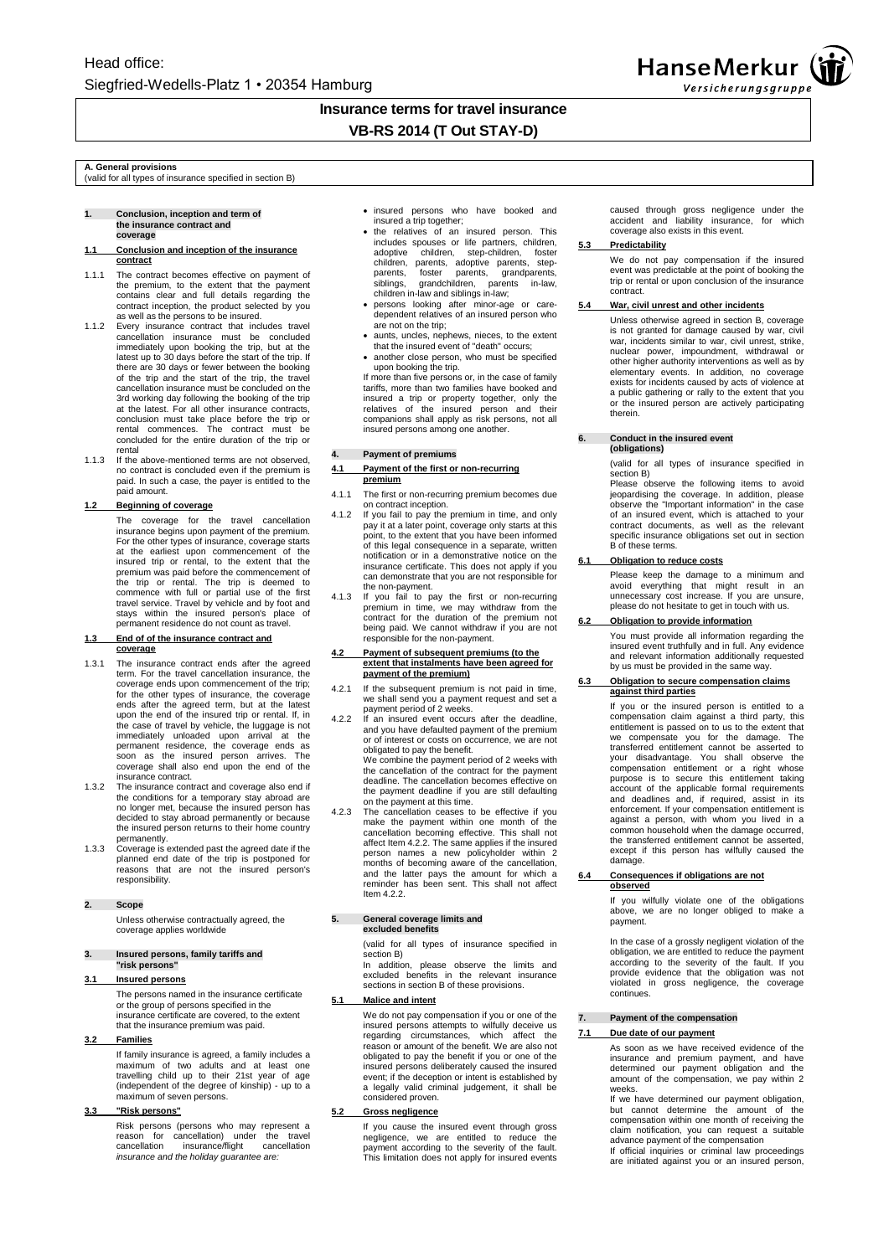

## **Insurance terms for travel insurance VB-RS 2014 (T Out STAY-D)**

**A. General provisions** (valid for all types of insurance specified in section B)

#### **1. Conclusion, inception and term of the insurance contract and coverage**

#### **1.1 Conclusion and inception of the insurance contract**

- 1.1.1 The contract becomes effective on payment of the premium, to the extent that the payment contains clear and full details regarding the contract inception, the product selected by you
- as well as the persons to be insured.<br>1.1.2 Every insurance contract that includes travel<br>cancellation insurance must be concluded<br>immediately upon booking the trip, but at the<br>latest up to 30 days before the start of the there are 30 days or fewer between the booking of the trip and the start of the trip, the travel<br>cancellation insurance must be concluded on the<br>3rd working day following the booking of the trip<br>at the latest. For all other insurance contracts,<br>conclusion must take pla rental commences. The contract must be concluded for the entire duration of the trip or rental
- 1.1.3 If the above-mentioned terms are not observed, no contract is concluded even if the premium is paid. In such a case, the payer is entitled to the paid amount.

### **1.2 Beginning of coverage**

The coverage for the travel cancellation insurance begins upon payment of the premium. For the other types of insurance, coverage starts at the earliest upon commencement of the insured trip or rental, to the extent that the premium was paid before the commencement of<br>the trip or rental. The trip is deemed to<br>commence with full or partial use of the first<br>travel service. Travel by vehicle and by foot and stays within the insured person's place of permanent residence do not count as travel.

#### **1.3 End of of the insurance contract and coverage**

- 1.3.1 The insurance contract ends after the agreed term. For the travel cancellation insurance, the coverage ends upon commencement of the trip; for the other types of insurance, the coverage ends after the agreed term, but at the latest upon the end of the insured trip or rental. If, in the case of travel by vehicle, the luggage is not immediately unloaded upon arrival at the permanent residence, the coverage ends as soon as the insured person arrives. The coverage shall also end upon the end of the insurance contract.
- 1.3.2 The insurance contract and coverage also end if the conditions for a temporary stay abroad are no longer met, because the insured person has decided to stay abroad permanently or because the insured person returns to their home country permanently.
- 1.3.3 Coverage is extended past the agreed date if the planned end date of the trip is postponed for reasons that are not the insured person's responsibility.

### **2. Scope**

Unless otherwise contractually agreed, the coverage applies worldwide

#### **3. Insured persons, family tariffs and "risk persons"**

#### **3.1 Insured persons**

The persons named in the insurance certificate or the group of persons specified in the insurance certificate are covered, to the extent that the insurance premium was paid.

#### **3.2 Families**

If family insurance is agreed, a family includes a maximum of two adults and at least one travelling child up to their 21st year of age (independent of the degree of kinship) - up to a maximum of seven persons.

### **3.3 "Risk persons"**

Risk persons (persons who may represent a reason for cancellation) under the travel cancellation insurance/flight cancellation *insurance and the holiday guarantee are:*

- insured persons who have booked and insured a trip together;
- the relatives of an insured person. This includes spouses or life partners, children,<br>adoptive children, step-children, foster adoptive children, step-children, foster children, parents, adoptive parents, step-parents, foster parents, grandparents, siblings, grandchildren, parents in-law, children in-law and siblings in-law;
- persons looking after minor-age or care-dependent relatives of an insured person who are not on the trip;
- aunts, uncles, nephews, nieces, to the extent that the insured event of "death" occurs;
- another close person, who must be specified

upon booking the trip.<br>If more than five persons or, in the case of family<br>tariffs, more than two families have booked and<br>insured a trip or property together, only the<br>relatives of the insured person and their<br>companions insured persons among one another.

#### **4. Payment of premiums**

#### **4.1 Payment of the first or non-recurring premium**

- 4.1.1 The first or non-recurring premium becomes due
- on contract inception. 4.1.2 If you fail to pay the premium in time, and only pay it at a later point, coverage only starts at this point, to the extent that you have been informed of this legal consequence in a separate, written notification or in a demonstrative notice on the insurance certificate. This does not apply if you can demonstrate that you are not responsible for the non-payment.
- 4.1.3 If you fail to pay the first or non-recurring premium in time, we may withdraw from the contract for the duration of the premium not being paid. We cannot withdraw if you are not responsible for the non-payment.

## **4.2 Payment of subsequent premiums (to the extent that instalments have been agreed for payment of the premium)**

- 4.2.1 If the subsequent premium is not paid in time, we shall send you a payment request and set a
- payment period of 2 weeks. 4.2.2 If an insured event occurs after the deadline, and you have defaulted payment of the premium or of interest or costs on occurrence, we are not obligated to pay the benefit.

We combine the payment period of 2 weeks with the cancellation of the contract for the payment deadline. The cancellation becomes effective on the payment deadline if you are still defaulting on the payment at this time. 4.2.3 The cancellation ceases to be effective if you

make the payment within one month of the cancellation becoming effective. This shall not affect Item 4.2.2. The same applies if the insured person names a new policyholder within 2 months of becoming aware of the cancellation, and the latter pays the amount for which a reminder has been sent. This shall not affect Item 4.2.2

# **5. General coverage limits and excluded benefits**

(valid for all types of insurance specified in section B)

In addition, please observe the limits and excluded benefits in the relevant insurance sections in section B of these provisions.

### **5.1 Malice and intent**

We do not pay compensation if you or one of the<br>insured persons attempts to wilfully deceive us<br>regarding circumstances, which affect the<br>reason or amount of the benefit. We are also not<br>obligated to pay the benefit if you insured persons deliberately caused the insured event; if the deception or intent is established by a legally valid criminal judgement, it shall be considered proven.

### **5.2 Gross negligence**

If you cause the insured event through gross negligence, we are entitled to reduce the payment according to the severity of the fault. This limitation does not apply for insured events caused through gross negligence under the accident and liability insurance, for which coverage also exists in this event.

#### **5.3 Predictability**

We do not pay compensation if the insured event was predictable at the point of booking the trip or rental or upon conclusion of the insurance contract.

### **5.4 War, civil unrest and other incidents**

Unless otherwise agreed in section B, coverage is not granted for damage caused by war, civil war, incidents similar to war, civil unrest, strike, nuclear power, impoundment, withdrawal or other higher authority interventions as well as by elementary events. In addition, no coverage exists for incidents caused by acts of violence at a public gathering or rally to the extent that you or the insured person are actively participating therein.

# **6. Conduct in the insured event (obligations)**

(valid for all types of insurance specified in section B)

Please observe the following items to avoid<br>jeopardising the coverage. In addition, please<br>observe the "Important information" in the case<br>of an insured event, which is attached to your<br>contract documents, as well as the r specific insurance obligations set out in section B of these terms.

### **6.1 Obligation to reduce costs**

Please keep the damage to a minimum and avoid everything that might result in an unnecessary cost increase. If you are unsure, please do not hesitate to get in touch with us.

### **6.2 Obligation to provide information**

You must provide all information regarding the insured event truthfully and in full. Any evidence and relevant information additionally requested by us must be provided in the same way.

#### **6.3 Obligation to secure compensation claims against third parties**

If you or the insured person is entitled to a compensation claim against a third party, this entitlement is passed on to us to the extent that<br>we compensate you for the damage. The<br>transferred entitlement cannot be asserted to<br>your disadvantage. You shall observe the<br>compensation entitlement or a right whose<br>purpo enforcement. If your compensation entitlement is against a person, with whom you lived in a common household when the damage occurred, the transferred entitlement cannot be asserted, except if this person has wilfully caused the damage.

#### **6.4 Consequences if obligations are not observed**

If you wilfully violate one of the obligations above, we are no longer obliged to make a payment.

In the case of a grossly negligent violation of the obligation, we are entitled to reduce the payment according to the severity of the fault. If you provide evidence that the obligation was not violated in gross negligence, the coverage continues.

### **7. Payment of the compensation**

### **7.1 Due date of our payment**

As soon as we have received evidence of the insurance and premium payment, and have determined our payment obligation and the amount of the compensation, we pay within 2 weeks.

If we have determined our payment obligation, but cannot determine the amount of the compensation within one month of receiving the claim notification, you can request a suitable

advance payment of the compensation If official inquiries or criminal law proceedings are initiated against you or an insured person,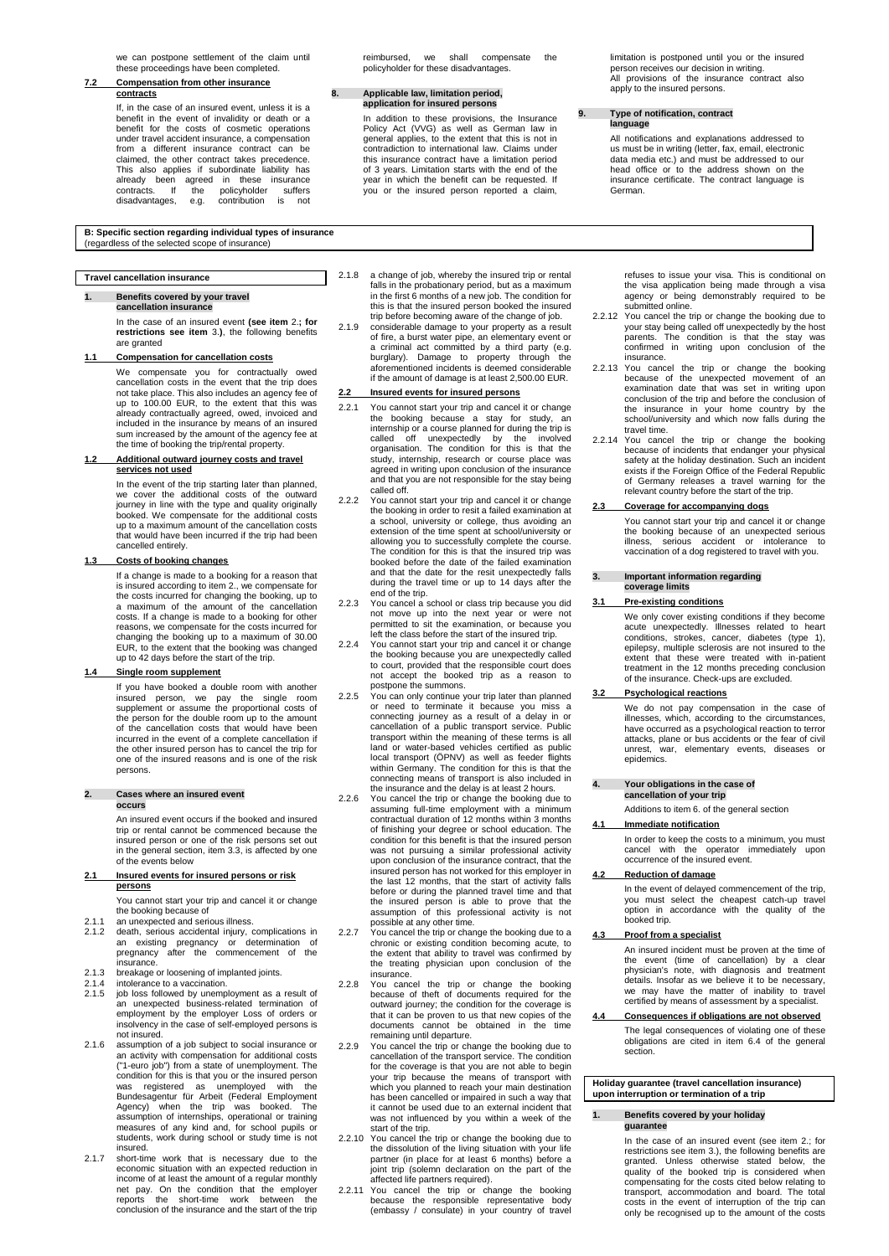we can postpone settlement of the claim until these proceedings have been completed.

#### **7.2 Compensation from other insurance contracts**

If, in the case of an insured event, unless it is a benefit in the event of invalidity or death or a benefit for the costs of cosmetic operations under travel accident insurance, a compensation from a different insurance contract can be claimed, the other contract takes precedence. This also applies if subordinate liability has already been agreed in these insurance contracts. If the policyholder suffers disadvantages, e.g. contribution is not reimbursed, we shall compensate the policyholder for these disadvantages.

#### **8. Applicable law, limitation period, application for insured persons**

In addition to these provisions, the Insurance Policy Act (VVG) as well as German law in general applies, to the extent that this is not in contradiction to international law. Claims under this insurance contract have a limitation period of 3 years. Limitation starts with the end of the year in which the benefit can be requested. If you or the insured person reported a claim,

limitation is postponed until you or the insured person receives our decision in writing. All provisions of the insurance contract also apply to the insured persons.

#### **9. Type of notification, contract language**

All notifications and explanations addressed to us must be in writing (letter, fax, email, electronic data media etc.) and must be addressed to our head office or to the address shown on the insurance certificate. The contract language is German.

#### **B: Specific section regarding individual types of insurance**  (regardless of the selected scope of insurance)

### **Travel cancellation insurance**

#### **1. Benefits covered by your travel cancellation insurance**

In the case of an insured event **(see item** 2.**; for restrictions see item** 3.**)**, the following benefits are granted

#### **1.1 Compensation for cancellation costs**

We compensate you for contractually owed cancellation costs in the event that the trip does not take place. This also includes an agency fee of up to 100.00 EUR, to the extent that this was already contractually agreed, owed, invoiced and included in the insurance by means of an insured sum increased by the amount of the agency fee at the time of booking the trip/rental property.

#### **1.2 Additional outward journey costs and travel services not used**

In the event of the trip starting later than planned, we cover the additional costs of the outward journey in line with the type and quality originally booked. We compensate for the additional costs up to a maximum amount of the cancellation costs that would have been incurred if the trip had been cancelled entirely.

### **1.3 Costs of booking changes**

If a change is made to a booking for a reason that is insured according to item 2., we compensate for the costs incurred for changing the booking, up to a maximum of the amount of the cancellation costs. If a change is made to a booking for other reasons, we compensate for the costs incurred for changing the booking up to a maximum of 30.00 EUR, to the extent that the booking was changed up to 42 days before the start of the trip.

#### **1.4 Single room supplement**

If you have booked a double room with another insured person, we pay the single room supplement or assume the proportional costs of the person for the double room up to the amount of the cancellation costs that would have been incurred in the event of a complete cancellation if the other insured person has to cancel the trip for one of the insured reasons and is one of the risk persons.

#### **2. Cases where an insured event occurs**

An insured event occurs if the booked and insured trip or rental cannot be commenced because the insured person or one of the risk persons set out in the general section, item 3.3, is affected by one of the events below

#### **2.1 Insured events for insured persons or risk persons**

You cannot start your trip and cancel it or change the booking because of 2.1.1 an unexpected and serious illness.

- 2.1.2 death, serious accidental injury, complications in an existing pregnancy or determination of pregnancy after the commencement of the
- insurance.
- 
- 2.1.3 breakage or loosening of implanted joints. 2.1.4 intolerance to a vaccination. 2.1.5 job loss followed by unemployment as a result of an unexpected business-related termination of employment by the employer Loss of orders or insolvency in the case of self-employed persons is not insured.
- 2.1.6 assumption of a job subject to social insurance or an activity with compensation for additional costs ("1-euro job") from a state of unemployment. The condition for this is that you or the insured person was registered as unemployed with the Bundesagentur für Arbeit (Federal Employment Agency) when the trip was booked. The assumption of internships, operational or training measures of any kind and, for school pupils or students, work during school or study time is not insured.
- 2.1.7 short-time work that is necessary due to the economic situation with an expected reduction in income of at least the amount of a regular monthly net pay. On the condition that the employer reports the short-time work between the conclusion of the insurance and the start of the trip
- 2.1.8 a change of job, whereby the insured trip or rental falls in the probationary period, but as a maximum in the first 6 months of a new job. The condition for this is that the insured person booked the insured trip before becoming aware of the change of job.
- 2.1.9 considerable damage to your property as a result of fire, a burst water pipe, an elementary event or a criminal act committed by a third party (e.g. burglary). Damage to property through the aforementioned incidents is deemed considerable if the amount of damage is at least 2,500.00 EUR.

### **2.2 Insured events for insured persons**

- 2.2.1 You cannot start your trip and cancel it or change the booking because a stay for study, an internship or a course planned for during the trip is called off unexpectedly by the involved organisation. The condition for this is that the study, internship, research or course place was agreed in writing upon conclusion of the insurance and that you are not responsible for the stay being called off.
- 2.2.2 You cannot start your trip and cancel it or change the booking in order to resit a failed examination at a school, university or college, thus avoiding an extension of the time spent at school/university or<br>allowing you to successfully complete the course.<br>The condition for this is that the insured trip was booked before the date of the failed examination and that the date for the resit unexpectedly falls during the travel time or up to 14 days after the end of the trip.
- 2.2.3 You cancel a school or class trip because you did not move up into the next year or were not permitted to sit the examination, or because you left the class before the start of the insured trip.
- 2.2.4 You cannot start your trip and cancel it or change the booking because you are unexpectedly called to court, provided that the responsible court does not accept the booked trip as a reason to
- postpone the summons. 2.2.5 You can only continue your trip later than planned or need to terminate it because you miss a connecting journey as a result of a delay in or cancellation of a public transport service. Public transport within the meaning of these terms is all land or water-based vehicles certified as public local transport (ÖPNV) as well as feeder flights within Germany. The condition for this is that the<br>connecting means of transport is also included in<br>the insurance and the delay is at least 2 hours.<br>You cancel the trip or change the booking due to<br>assuming full-time empl
- contractual duration of 12 months within 3 months of finishing your degree or school education. The condition for this benefit is that the insured person was not pursuing a similar professional activity upon conclusion of the insurance contract, that the insured person has not worked for this employer in the last 12 months, that the start of activity falls before or during the planned travel time and that the insured person is able to prove that the assumption of this professional activity is not possible at any other time.
- 2.2.7 You cancel the trip or change the booking due to a chronic or existing condition becoming acute, to the extent that ability to travel was confirmed by the treating physician upon conclusion of the insurance.
- 2.2.8 You cancel the trip or change the booking because of theft of documents required for the outward journey; the condition for the coverage is that it can be proven to us that new copies of the documents cannot be obtained in the time remaining until departure.
- 2.2.9 You cancel the trip or change the booking due to cancellation of the transport service. The condition for the coverage is that you are not able to begin your trip because the means of transport with which you planned to reach your main destination has been cancelled or impaired in such a way that it cannot be used due to an external incident that was not influenced by you within a week of the
- start of the trip. 2.2.10 You cancel the trip or change the booking due to the dissolution of the living situation with your life partner (in place for at least 6 months) before a joint trip (solemn declaration on the part of the
- affected life partners required). 2.2.11 You cancel the trip or change the booking because the responsible representative body (embassy / consulate) in your country of travel

refuses to issue your visa. This is conditional on the visa application being made through a visa agency or being demonstrably required to be submitted online.

- 2.2.12 You cancel the trip or change the booking due to your stay being called off unexpectedly by the host parents. The condition is that the stay was confirmed in writing upon conclusion of the insurance.
- 2.2.13 You cancel the trip or change the booking because of the unexpected movement of an examination date that was set in writing upon conclusion of the trip and before the conclusion of the insurance in your home country by the school/university and which now falls during the travel time.
- 2.2.14 You cancel the trip or change the booking because of incidents that endanger your physical<br>safety at the holiday destination. Such an incident<br>exists if the Foreign Office of the Federal Republic<br>of Germany releases a travel warning for the relevant country before the start of the trip.

### **2.3 Coverage for accompanying dogs**

You cannot start your trip and cancel it or change the booking because of an unexpected serious illness, serious accident or intolerance to vaccination of a dog registered to travel with you.

### **3. Important information regarding**

#### **coverage limits**

### **3.1 Pre-existing conditions**

We only cover existing conditions if they become acute unexpectedly. Illnesses related to heart conditions, strokes, cancer, diabetes (type 1), epilepsy, multiple sclerosis are not insured to the extent that these were treated with in-patient treatment in the 12 months preceding conclusion of the insurance. Check-ups are excluded.

### **3.2 Psychological reactions**

We do not pay compensation in the case of illnesses, which, according to the circumstances, have occurred as a psychological reaction to terror attacks, plane or bus accidents or the fear of civil unrest, war, elementary events, diseases or epidemics.

# **4. Your obligations in the case of cancellation of your trip**

Additions to item 6. of the general section

## **4.1 Immediate notification**

In order to keep the costs to a minimum, you must cancel with the operator immediately upon occurrence of the insured event.

### **4.2 Reduction of damage**

In the event of delayed commencement of the trip, you must select the cheapest catch-up travel option in accordance with the quality of the booked trip.

#### **4.3 Proof from a specialist**

An insured incident must be proven at the time of the event (time of cancellation) by a clear physician's note, with diagnosis and treatment details. Insofar as we believe it to be necessary, we may have the matter of inability to travel certified by means of assessment by a specialist.

#### **4.4 Consequences if obligations are not observed** The legal consequences of violating one of these

obligations are cited in item 6.4 of the general section.

**Holiday guarantee (travel cancellation insurance) upon interruption or termination of a trip**

#### **1. Benefits covered by your holiday guarantee**

In the case of an insured event (see item 2.; for restrictions see item 3.), the following benefits are granted. Unless otherwise stated below, the quality of the booked trip is considered when compensating for the costs cited below relating to transport, accommodation and board. The total costs in the event of interruption of the trip can only be recognised up to the amount of the costs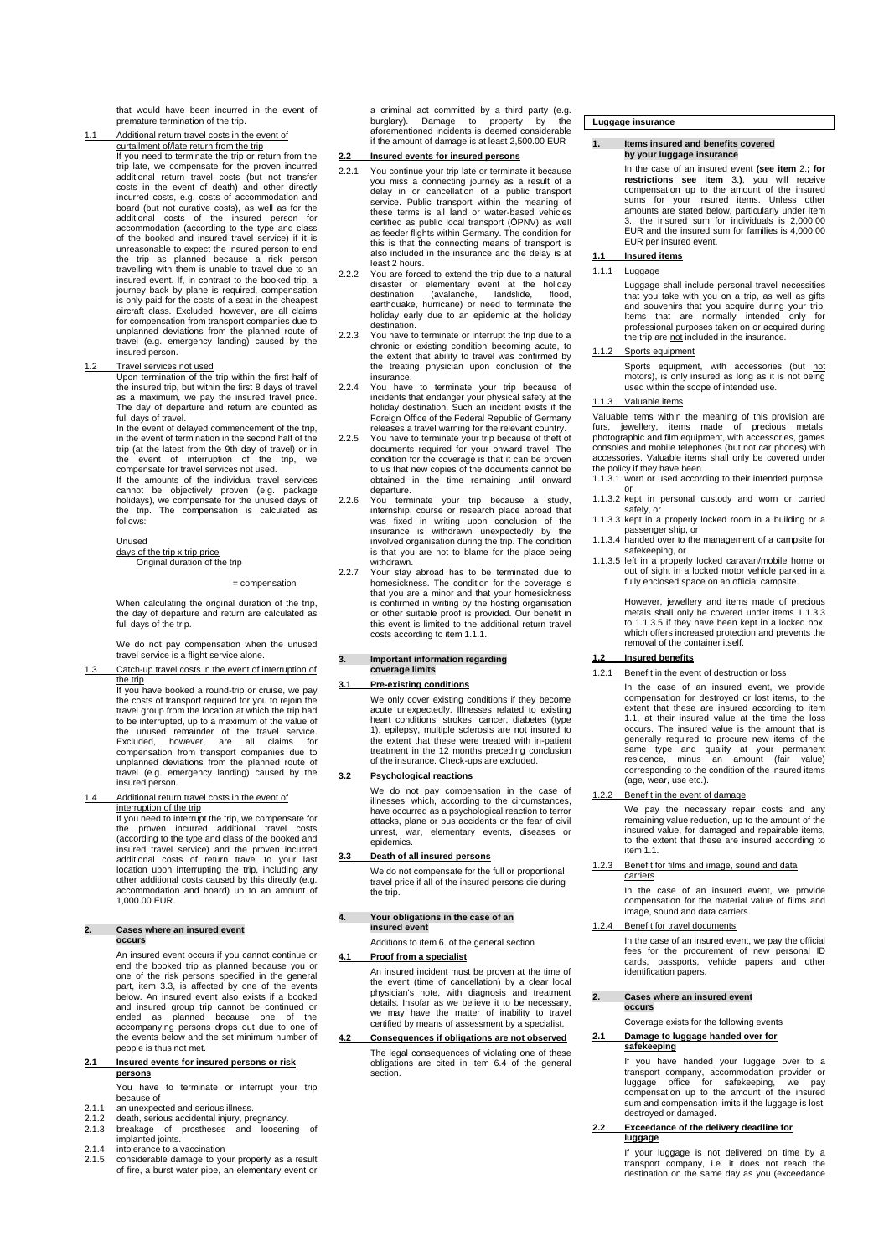that would have been incurred in the event of premature termination of the trip.

### 1.1 Additional return travel costs in the event of curtailment of/late return from the trip If you need to terminate the trip or return from the trip late, we compensate for the proven incurred additional return travel costs (but not transfer costs in the event of death) and other directly incurred costs, e.g. costs of accommodation and board (but not curative costs), as well as for the<br>additional costs of the insured person for<br>accommodation (according to the type and class<br>of the booked and insured travel service) if it is unreasonable to expect the insured person to end the trip as planned because a risk person travelling with them is unable to travel due to an insured event. If, in contrast to the booked trip, a journey back by plane is required, compensation is only paid for the costs of a seat in the cheapest aircraft class. Excluded, however, are all claims for compensation from transport companies due to unplanned deviations from the planned route of travel (e.g. emergency landing) caused by the insured person.

1.2 Travel services not used Upon termination of the trip within the first half of the insured trip, but within the first 8 days of travel as a maximum, we pay the insured travel price. The day of departure and return are counted as

full days of travel. In the event of delayed commencement of the trip, in the event of termination in the second half of the trip (at the latest from the 9th day of travel) or in event of interruption of the trip, we compensate for travel services not used. If the amounts of the individual travel services cannot be objectively proven (e.g. package holidays), we compensate for the unused days of the trip. The compensation is calculated as follows

#### Unused

days of the trip x trip price Original duration of the trip

#### = compensation

When calculating the original duration of the trip, the day of departure and return are calculated as full days of the trip.

We do not pay compensation when the unused travel service is a flight service alone.

Catch-up travel costs in the event of in

the trip<br>If you have booked a round-trip or cruise, we pay<br>the costs of transport required for you to rejoin the travel group from the location at which the trip had to be interrupted, up to a maximum of the value of the unused remainder of the travel service. Excluded, however, are all claims for compensation from transport companies due to unplanned deviations from the planned route of travel (e.g. emergency landing) caused by the insured person.

## 1.4 Additional return travel costs in the event of interruption of the trip

If you need to interrupt the trip, we compensate for the proven incurred additional travel costs (according to the type and class of the booked and insured travel service) and the proven incurred additional costs of return travel to your last location upon interrupting the trip, including any other additional costs caused by this directly (e.g. accommodation and board) up to an amount of 1,000.00 EUR.

#### **2. Cases where an insured event occurs**

An insured event occurs if you cannot continue or end the booked trip as planned because you or<br>one of the risk persons specified in the general<br>part, item 3.3, is affected by one of the events<br>below. An insured event also exists if a booked and insured group trip cannot be continued or ended as planned because one of the accompanying persons drops out due to one of the events below and the set minimum number of people is thus not met.

### **2.1 Insured events for insured persons or risk persons**

You have to terminate or interrupt your trip because of<br>an unexpected and serious illness.

- 
- 2.1.1 an unexpected and serious illness. 2.1.2 death, serious accidental injury, pregnancy. 2.1.3 breakage of prostheses and loosening of breakage of prostheses<br>implanted joints.
- 
- 2.1.4 intolerance to a vaccination 2.1.5 considerable damage to your property as a result of fire, a burst water pipe, an elementary event or

a criminal act committed by a third party (e.g. burglary). Damage to property by the a communication communication property by the<br>aforementioned incidents is deemed considerable if the amount of damage is at least 2,500.00 EUR

### **2.2 Insured events for insured persons**

- 2.2.1 You continue your trip late or terminate it because you miss a connecting journey as a result of a delay in or cancellation of a public transport service. Public transport within the meaning of these terms is all land or water-based vehicles certified as public local transport (ÖPNV) as well as feeder flights within Germany. The condition for this is that the connecting means of transport is also included in the insurance and the delay is at least 2 hours.
- 2.2.2 You are forced to extend the trip due to a natural disaster or elementary event at the holiday destination (avalanche, landslide, flood, earthquake, hurricane) or need to terminate the holiday early due to an epidemic at the holiday
- destination. 2.2.3 You have to terminate or interrupt the trip due to a chronic or existing condition becoming acute, to the extent that ability to travel was confirmed by the treating physician upon conclusion of the insurance.
- 2.2.4 You have to terminate your trip because of incidents that endanger your physical safety at the holiday destination. Such an incident exists if the Foreign Office of the Federal Republic of Germany releases a travel warning for the relevant country.
- 2.2.5 You have to terminate your trip because of theft of documents required for your onward travel. The condition for the coverage is that it can be proven to us that new copies of the documents cannot be obtained in the time remaining until onward departure.
- 2.2.6 You terminate your trip because a study, internship, course or research place abroad that was fixed in writing upon conclusion of the insurance is withdrawn unexpectedly by the involved organisation during the trip. The condition is that you are not to blame for the place being withdrawn.
- 2.2.7 Your stay abroad has to be terminated due to homesickness. The condition for the coverage is that you are a minor and that your homesickness is confirmed in writing by the hosting organisation or other suitable proof is provided. Our benefit in this event is limited to the additional return travel costs according to item 1.1.1.

#### **3. Important information regarding coverage limits**

#### **3.1 Pre-existing conditions**

We only cover existing conditions if they become acute unexpectedly. Illnesses related to existing heart conditions, strokes, cancer, diabetes (type 1), epilepsy, multiple sclerosis are not insured to the extent that these were treated with in-patient treatment in the 12 months preceding conclusion of the insurance. Check-ups are excluded.

### **3.2 Psychological reactions**

We do not pay compensation in the case of illnesses, which, according to the circumstances, have occurred as a psychological reaction to terror attacks, plane or bus accidents or the fear of civil unrest, war, elementary events, diseases or epidemics.

### **3.3 Death of all insured persons**

We do not compensate for the full or proportional travel price if all of the insured persons die during the trip.

#### **4. Your obligations in the case of an insured event**

Additions to item 6. of the general section

### **4.1 Proof from a specialist**

An insured incident must be proven at the time of the event (time of cancellation) by a clear local physician's note, with diagnosis and treatment details. Insofar as we believe it to be necessary, we may have the matter of inability to travel certified by means of assessment by a specialist.

### **4.2 Consequences if obligations are not observed** The legal consequences of violating one of these obligations are cited in item 6.4 of the general section.

### **Luggage insurance**

#### **1. Items insured and benefits covered by your luggage insurance**

In the case of an insured event **(see item** 2.**; for restrictions see item** 3.), you will receive compensation up to the amount of the insured items. Unless other amounts are stated below, particularly under item 3., the insured sum for individuals is 2,000.00 EUR and the insured sum for families is 4,000.00 EUR per insured event.

#### **1.1 Insured items**

### 1.1.1 Luggage

Luggage shall include personal travel necessities that you take with you on a trip, as well as gifts and souvenirs that you acquire during your trip. Items that are normally intended only for professional purposes taken on or acquired during the trip are not included in the insurance.

### 1.1.2 Sports equipment

Sports equipment, with accessories (but not motors), is only insured as long as it is not being used within the scope of intended use.

### Valuable items

Valuable items within the meaning of this provision are furs, jewellery, items made of precious metals, photographic and film equipment, with accessories, games consoles and mobile telephones (but not car phones) with accessories. Valuable items shall only be covered under the policy if they have been

- 1.1.3.1 worn or used according to their intended purpose, or
- 1.1.3.2 kept in personal custody and worn or carried safely, or 1.1.3.3 kept in a properly locked room in a building or a
- passenger ship, or 1.1.3.4 handed over to the management of a campsite for
- safekeeping, or 1.1.3.5 left in a properly locked caravan/mobile home or
- out of sight in a locked motor vehicle parked in a fully enclosed space on an official campsite.

However, jewellery and items made of precious metals shall only be covered under items 1.1.3.3 to 1.1.3.5 if they have been kept in a locked box, which offers increased protection and prevents the removal of the container itself.

### **1.2 Insured benefits**

1.2.1 Benefit in the event of destruction or loss

In the case of an insured event, we provide compensation for destroyed or lost items, to the extent that these are insured according to item 1.1, at their insured value at the time the loss occurs. The insured value is the amount that is generally required to procure new items of the same type and quality at your permanent residence, minus an amount (fair value) corresponding to the condition of the insured items  $($ age, wear, use etc.).

#### Benefit in the event of dama

We pay the necessary repair costs and any remaining value reduction, up to the amount of the insured value, for damaged and repairable items, to the extent that these are insured according to item 1.1.

#### Benefit for films and image, sound and data carriers

In the case of an insured event, we provide compensation for the material value of films and image, sound and data carriers.

### Benefit for travel documents

In the case of an insured event, we pay the official fees for the procurement of new personal ID cards, passports, vehicle papers and other identification papers.

#### **2. Cases where an insured event occurs**

Coverage exists for the following events

## **2.1 Damage to luggage handed over for safekeeping**

If you have handed your luggage over to a transport company, accommodation provider or luggage office for safekeeping, we pay compensation up to the amount of the insured sum and compensation limits if the luggage is lost, destroyed or damaged.

**2.2 Exceedance of the delivery deadline for luggage**

If your luggage is not delivered on time by a transport company, i.e. it does not reach the destination on the same day as you (exceedance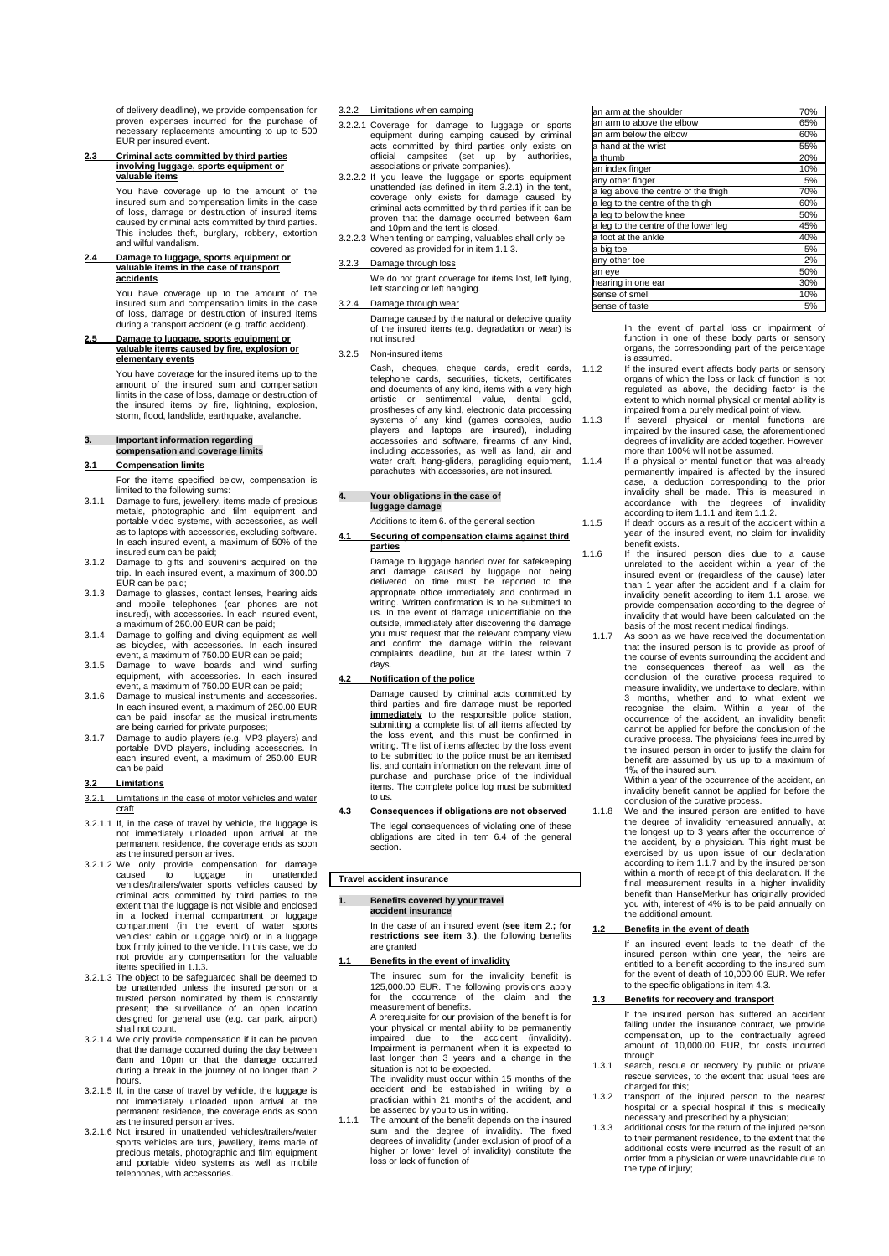of delivery deadline), we provide compensation for proven expenses incurred for the purchase necessary replacements amounting to up to 500 EUR per insured event.

**2.3 Criminal acts committed by third parties involving luggage, sports equipment or valuable items**

> You have coverage up to the amount of the insured sum and compensation limits in the case of loss, damage or destruction of insured items caused by criminal acts committed by third parties. This includes theft, burglary, robbery, extortion and wilful vandalism.

### **2.4 Damage to luggage, sports equipment or valuable items in the case of transport accidents**

You have coverage up to the amount of the insured sum and compensation limits in the case of loss, damage or destruction of insured items during a transport accident (e.g. traffic accident).

**2.5 Damage to luggage, sports equipment or valuable items caused by fire, explosion or elementary events**

> You have coverage for the insured items up to the amount of the insured sum and compensation limits in the case of loss, damage or destruction of the insured items by fire, lightning, explosion, storm, flood, landslide, earthquake, avalanche.

#### **3. Important information regarding compensation and coverage limits**

#### **3.1 Compensation limits**

For the items specified below, compensation is limited to the following sums:

- 3.1.1 Damage to furs, jewellery, items made of precious metals, photographic and film equipment and portable video systems, with accessories, as well as to laptops with accessories, excluding software. In each insured event, a maximum of 50% of the insured sum can be paid;
- 3.1.2 Damage to gifts and souvenirs acquired on the trip. In each insured event, a maximum of 300.00 EUR can be paid;
- 3.1.3 Damage to glasses, contact lenses, hearing aids and mobile telephones (car phones are not insured), with accessories. In each insured event, a maximum of 250.00 EUR can be paid;
- 3.1.4 Damage to golfing and diving equipment as well as bicycles, with accessories. In each insured
- event, a maximum of 750.00 EUR can be paid; 3.1.5 Damage to wave boards and wind surfing equipment, with accessories. In each insured event, a maximum of 750.00 EUR can be paid;
- 3.1.6 Damage to musical instruments and accessories. In each insured event, a maximum of 250.00 EUR can be paid, insofar as the musical instruments are being carried for private purposes;
- 3.1.7 Damage to audio players (e.g. MP3 players) and portable DVD players, including accessories. In each insured event, a maximum of 250.00 EUR can be paid

#### **3.2 Limitations**

#### 3.2.1 Limitations in the case of motor vehicles and water craft

- 3.2.1.1 If, in the case of travel by vehicle, the luggage is not immediately unloaded upon arrival at the permanent residence, the coverage ends as soon as the insured person arrives.
- 3.2.1.2 We only provide compensation for damage caused to luggage in unattended vehicles/trailers/water sports vehicles caused by criminal acts committed by third parties to the extent that the luggage is not visible and enclosed in a locked internal compartment or luggage compartment (in the event of water sports vehicles: cabin or luggage hold) or in a luggage box firmly joined to the vehicle. In this case, we do not provide any compensation for the valuable items specified in 1.1.3.
- 3.2.1.3 The object to be safeguarded shall be deemed to be unattended unless the insured person or a trusted person nominated by them is constantly present; the surveillance of an open location designed for general use (e.g. car park, airport)
- shall not count. 3.2.1.4 We only provide compensation if it can be proven that the damage occurred during the day between 6am and 10pm or that the damage occurred during a break in the journey of no longer than 2 hours.
- 3.2.1.5 If, in the case of travel by vehicle, the luggage is not immediately unloaded upon arrival at the permanent residence, the coverage ends as soon as the insured person arrives.
- 3.2.1.6 Not insured in unattended vehicles/trailers/water sports vehicles are furs, jewellery, items made of precious metals, photographic and film equipment and portable video systems as well as mobile telephones, with accessories.

#### 3.2.2 Limitations when camping

- 3.2.2.1 Coverage for damage to luggage or sports equipment during camping caused by criminal acts committed by third parties only exists on official campsites (set up by authorities, associations or private companies).
- 3.2.2.2 If you leave the luggage or sports equipment unattended (as defined in item 3.2.1) in the tent, coverage only exists for damage caused by criminal acts committed by third parties if it can be proven that the damage occurred between 6am .<br>and 10pm and the tent is closed.
- 3.2.2.3 When tenting or camping, valuables shall only be covered as provided for in item 1.1.3.

### Damage through loss

We do not grant coverage for items lost, left lying, left standing or left hanging.

3.2.4 Damage through wear

Damage caused by the natural or defective quality of the insured items (e.g. degradation or wear) is not insured.

### 3.2.5 Non-insured items

Cash, cheques, cheque cards, credit cards, telephone cards, securities, tickets, certificates and documents of any kind, items with a very high artistic or sentimental value, dental gold, prostheses of any kind, electronic data processing systems of any kind (games consoles, audio players and laptops are insured), including accessories and software, firearms of any kind, including accessories, as well as land, air and water craft, hang-gliders, paragliding equipment, parachutes, with accessories, are not insured.

**4. Your obligations in the case of luggage damage** Additions to item 6. of the general section

### **4.1 Securing of compensation claims against third parties**

Damage to luggage handed over for safekeeping and damage caused by luggage not being delivered on time must be reported to the appropriate office immediately and confirmed in writing. Written confirmation is to be submitted to us. In the event of damage unidentifiable on the outside, immediately after discovering the damage you must request that the relevant company view and confirm the damage within the relevant complaints deadline, but at the latest within 7 days.

**4.2 Notification of the police**

Damage caused by criminal acts committed by third parties and fire damage must be reported **immediately** to the responsible police station, submitting a complete list of all items affected by the loss event, and this must be confirmed in writing. The list of items affected by the loss event to be submitted to the police must be an itemised list and contain information on the relevant time of purchase and purchase price of the individual items. The complete police log must be submitted to us.

#### **4.3 Consequences if obligations are not observed**

The legal consequences of violating one of these obligations are cited in item 6.4 of the general section.

#### **Travel accident insurance**

#### **1. Benefits covered by your travel accident insurance**

In the case of an insured event **(see item** 2.**; for restrictions see item** 3.**)**, the following benefits are granted

#### **1.1 Benefits in the event of invalidity**

The insured sum for the invalidity benefit is 125,000.00 EUR. The following provisions apply for the occurrence of the claim and the measurement of benefits.

A prerequisite for our provision of the benefit is for your physical or mental ability to be permanently impaired due to the accident (invalidity). Impairment is permanent when it is expected to last longer than 3 years and a change in the situation is not to be expected.

The invalidity must occur within 15 months of the accident and be established in writing by a practician within 21 months of the accident, and be asserted by you to us in writing.

1.1.1 The amount of the benefit depends on the insured<br>sum and the degree of invalidity. The fixed<br>degrees of invalidity (under exclusion of proof of a<br>higher or lower level of invalidity) constitute the loss or lack of function of

| an arm at the shoulder               | 70% |
|--------------------------------------|-----|
| an arm to above the elbow            | 65% |
| an arm below the elbow               | 60% |
| a hand at the wrist                  | 55% |
| a thumb                              | 20% |
| an index finger                      | 10% |
| any other finger                     | 5%  |
| a leg above the centre of the thigh  | 70% |
| a leg to the centre of the thigh     | 60% |
| a leg to below the knee              | 50% |
| a leg to the centre of the lower leg | 45% |
| a foot at the ankle                  | 40% |
| a big toe                            | 5%  |
| any other toe                        | 2%  |
| an eye                               | 50% |
| hearing in one ear                   | 30% |
| sense of smell                       | 10% |
| sense of taste                       | 5%  |

In the event of partial loss or impairment of function in one of these body parts or sensory organs, the corresponding part of the percentage is assumed.

- 1.1.2 If the insured event affects body parts or sensory organs of which the loss or lack of function is not regulated as above, the deciding factor is the extent to which normal physical or mental ability is impaired from a purely medical point of view.
- 1.1.3 If several physical or mental functions are impaired by the insured case, the aforementioned degrees of invalidity are added together. However, more than 100% will not be assumed.<br>1.1.4 If a physical or mental function that was already
	- permanently impaired is affected by the insured case, a deduction corresponding to the prior accordance with the degrees of invalidity accordance with the degrees of invalidity according to item 1.1.1 and item 1.1.2.
- 1.1.5 If death occurs as a result of the accident within a year of the insured event, no claim for invalidity benefit exists.
- 1.1.6 If the insured person dies due to a cause unrelated to the accident within a year of the insured event or (regardless of the cause) later than 1 year after the accident and if a claim for invalidity benefit according to item 1.1 arose, we provide compensation according to the degree of invalidity that would have been calculated on the basis of the most recent medical findings.
	- 1.1.7 As soon as we have received the documentation that the insured person is to provide as proof of the course of events surrounding the accident and the consequences thereof as well as the conclusion of the curative process required to measure invalidity, we undertake to declare, within 3 months, whether and to what extent we recognise the claim. Within a year of the occurrence of the accident, an invalidity benefit cannot be applied for before the conclusion of the curative process. The physicians' fees incurred by the insured person in order to justify the claim for benefit are assumed by us up to a maximum of 1‰ of the insured sum.

Within a year of the occurrence of the accident, an invalidity benefit cannot be applied for before the conclusion of the curative process.

1.1.8 We and the insured person are entitled to have the degree of invalidity remeasured annually, at the longest up to 3 years after the occurrence of the accident, by a physician. This right must be exercised by us upon issue of our declaration according to item 1.1.7 and by the insured person within a month of receipt of this declaration. If the final measurement results in a higher invalidity benefit than HanseMerkur has originally provided you with, interest of 4% is to be paid annually on the additional amount.

### **1.2 Benefits in the event of death**

If an insured event leads to the death of the insured person within one year, the heirs are entitled to a benefit according to the insured sum for the event of death of 10,000.00 EUR. We refer to the specific obligations in item 4.3.

#### **1.3 Benefits for recovery and transport**

If the insured person has suffered an accident falling under the insurance contract, we provide compensation, up to the contractually agreed amount of 10,000.00 EUR, for costs incurred through

- 1.3.1 search, rescue or recovery by public or private rescue services, to the extent that usual fees are charged for this;
- 1.3.2 transport of the injured person to the nearest hospital or a special hospital if this is medically necessary and prescribed by a physician; 1.3.3 additional costs for the return of the injured person
- to their permanent residence, to the extent that the additional costs were incurred as the result of an order from a physician or were unavoidable due to the type of injury;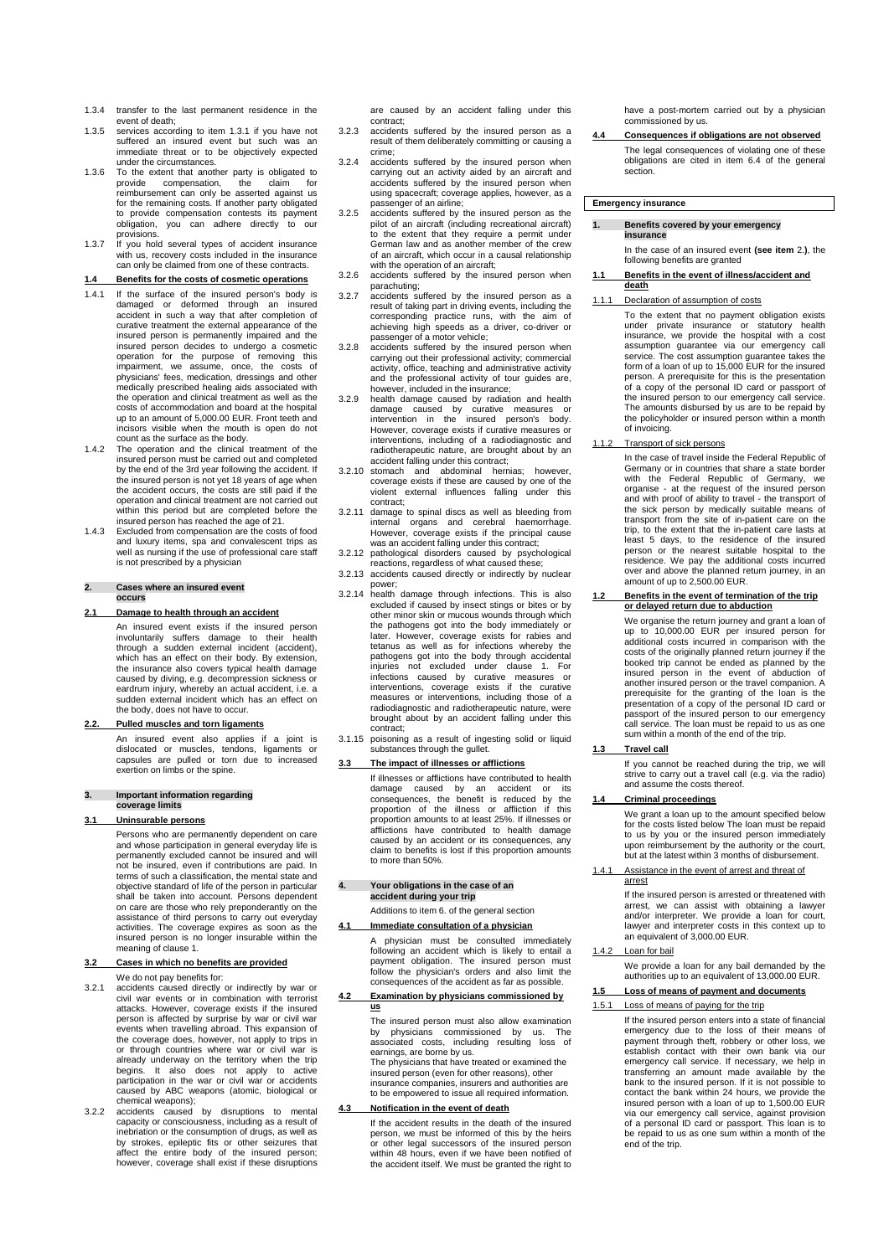- 1.3.4 transfer to the last permanent residence in the event of death;
- 1.3.5 services according to item 1.3.1 if you have not suffered an insured event but such was an immediate threat or to be objectively expected
- under the circumstances. 1.3.6 To the extent that another party is obligated to provide compensation, the claim for reimbursement can only be asserted against us for the remaining costs. If another party obligated to provide compensation contests its payment obligation, you can adhere directly to our provisions.
- 1.3.7 If you hold several types of accident insurance with us, recovery costs included in the insurance can only be claimed from one of these contracts.

### **1.4 Benefits for the costs of cosmetic operations**

- 1.4.1 If the surface of the insured person's body is damaged or deformed through an insured accident in such a way that after completion of curative treatment the external appearance of the insured person is permanently impaired and the insured person decides to undergo a cosmetic operation for the purpose of removing this impairment, we assume, once, the costs of physicians' fees, medication, dressings and other medically prescribed healing aids associated with the operation and clinical treatment as well as the costs of accommodation and board at the hospital up to an amount of 5,000.00 EUR. Front teeth and incisors visible when the mouth is open do not
- count as the surface as the body. 1.4.2 The operation and the clinical treatment of the insured person must be carried out and completed by the end of the 3rd year following the accident. If the insured person is not yet 18 years of age when the accident occurs, the costs are still paid if the operation and clinical treatment are not carried out within this period but are completed before the
- insured person has reached the age of 21. 1.4.3 Excluded from compensation are the costs of food and luxury items, spa and convalescent trips as well as nursing if the use of professional care staff is not prescribed by a physician

#### **2. Cases where an insured event occurs**

#### **2.1 Damage to health through an accident**

An insured event exists if the insured person involuntarily suffers damage to their health through a sudden external incident (accident), which has an effect on their body. By extension, the insurance also covers typical health damage caused by diving, e.g. decompression sickness or eardrum injury, whereby an actual accident, i.e. a sudden external incident which has an effect on the body, does not have to occur.

### **2.2. Pulled muscles and torn ligaments**

An insured event also applies if a joint is dislocated or muscles, tendons, ligaments or capsules are pulled or torn due to increased exertion on limbs or the spine.

#### **3. Important information regarding coverage limits**

#### **3.1 Uninsurable persons**

Persons who are permanently dependent on care and whose participation in general everyday life is permanently excluded cannot be insured and will not be insured, even if contributions are paid. In terms of such a classification, the mental state and objective standard of life of the person in particular shall be taken into account. Persons dependent on care are those who rely preponderantly on the assistance of third persons to carry out everyday activities. The coverage expires as soon as the insured person is no longer insurable within the meaning of clause 1.

### **3.2 Cases in which no benefits are provided** We do not pay benefits for:

- 3.2.1 accidents caused directly or indirectly by war or civil war events or in combination with terrorist attacks. However, coverage exists if the insured person is affected by surprise by war or civil war events when travelling abroad. This expansion of the coverage does, however, not apply to trips in or through countries where war or civil war is already underway on the territory when the trip begins. It also does not apply to active participation in the war or civil war or accidents caused by ABC weapons (atomic, biological or chemical weapons);
- 3.2.2 accidents caused by disruptions to mental capacity or consciousness, including as a result of inebriation or the consumption of drugs, as well as by strokes, epileptic fits or other seizures that affect the entire body of the insured person; however, coverage shall exist if these disruptions

are caused by an accident falling under this contract;

- 3.2.3 accidents suffered by the insured person as a result of them deliberately committing or causing a crime;
- 3.2.4 accidents suffered by the insured person when carrying out an activity aided by an aircraft and accidents suffered by the insured person when using spacecraft; coverage applies, however, as a
- passenger of an airline; 3.2.5 accidents suffered by the insured person as the pilot of an aircraft (including recreational aircraft) to the extent that they require a permit under German law and as another member of the crew of an aircraft, which occur in a causal relationship with the operation of an aircraft:
- 3.2.6 accidents suffered by the insured person when parachuting;
- paracriumly,<br>3.2.7 accidents suffered by the insured person as a result of taking part in driving events, including the corresponding practice runs, with the aim of achieving high speeds as a driver, co-driver or passenger of a motor vehicle;
- 3.2.8 accidents suffered by the insured person when carrying out their professional activity; commercial activity, office, teaching and administrative activity and the professional activity of tour guides are. however, included in the insurance;
- 3.2.9 health damage caused by radiation and health damage caused by curative measures or intervention in the insured person's body. However, coverage exists if curative measures or interventions, including of a radiodiagnostic and radiotherapeutic nature, are brought about by an accident falling under this contract;
- 3.2.10 stomach and abdominal hernias; however, coverage exists if these are caused by one of the violent external influences falling under this contract;
- 3.2.11 damage to spinal discs as well as bleeding from internal organs and cerebral haemorrhage. However, coverage exists if the principal cause was an accident falling under this contract;
- 3.2.12 pathological disorders caused by psychological reactions, regardless of what caused these; 3.2.13 accidents caused directly or indirectly by nuclear
- power;
- 3.2.14 health damage through infections. This is also excluded if caused by insect stings or bites or by other minor skin or mucous wounds through which the pathogens got into the body immediately or later. However, coverage exists for rabies and tetanus as well as for infections whereby the pathogens got into the body through accidental injuries not excluded under clause 1. For infections caused by curative measures or interventions, coverage exists if the curative measures or interventions, including those of a radiodiagnostic and radiotherapeutic nature, were brought about by an accident falling under this
- contract; 3.1.15 poisoning as a result of ingesting solid or liquid substances through the gullet.

#### **3.3 The impact of illnesses or afflictions**

If illnesses or afflictions have contributed to health damage caused by an accident or its consequences, the benefit is reduced by the proportion of the illness or affliction if this proportion amounts to at least 25%. If illnesses or afflictions have contributed to health damage caused by an accident or its consequences, any claim to benefits is lost if this proportion amounts to more than 50%.

# **4. Your obligations in the case of an accident during your trip**

### Additions to item 6. of the general section

## **4.1 Immediate consultation of a physician**

A physician must be consulted immediately following an accident which is likely to entail a payment obligation. The insured person must follow the physician's orders and also limit the consequences of the accident as far as possible.

### **4.2 Examination by physicians commissioned by us**

The insured person must also allow examination by physicians commissioned by us. The associated costs, including resulting loss of

earnings, are borne by us. The physicians that have treated or examined the insured person (even for other reasons), other insurance companies, insurers and authorities are to be empowered to issue all required information.

### **4.3 Notification in the event of death**

If the accident results in the death of the insured person, we must be informed of this by the heirs or other legal successors of the insured person within 48 hours, even if we have been notified of the accident itself. We must be granted the right to have a post-mortem carried out by a physician commissioned by us.

### **4.4 Consequences if obligations are not observed**

The legal consequences of violating one of these obligations are cited in item 6.4 of the general section.

### **Emergency insurance**

#### **1. Benefits covered by your emergency insurance**

In the case of an insured event **(see item** 2.**)**, the following benefits are granted

**1.1 Benefits in the event of illness/accident and death**

### 1.1.1 Declaration of assumption of costs

To the extent that no payment obligation exists under private insurance or statutory health insurance, we provide the hospital with a cost assumption guarantee via our emergency call service. The cost assumption guarantee takes the form of a loan of up to 15,000 EUR for the insured person. A prerequisite for this is the presentation of a copy of the personal ID card or passport of the insured person to our emergency call service. The amounts disbursed by us are to be repaid by the policyholder or insured person within a month of invoicing.

1.1.2 Transport of sick persons

In the case of travel inside the Federal Republic of Germany or in countries that share a state border with the Federal Republic of Germany, we organise - at the request of the insured person and with proof of ability to travel - the transport of the sick person by medically suitable means of transport from the site of in-patient care on the trip, to the extent that the in-patient care lasts at least 5 days, to the residence of the insured person or the nearest suitable hospital to the residence. We pay the additional costs incurred over and above the planned return journey, in an amount of up to 2,500.00 EUR.

#### **1.2 Benefits in the event of termination of the trip or delayed return due to abduction**

We organise the return journey and grant a loan of up to 10,000.00 EUR per insured person for additional costs incurred in comparison with the costs of the originally planned return journey if the booked trip cannot be ended as planned by the insured person in the event of abduction of another insured person or the travel companion. A prerequisite for the granting of the loan is the presentation of a copy of the personal ID card or passport of the insured person to our emergency call service. The loan must be repaid to us as one sum within a month of the end of the trip.

### **1.3 Travel call**

If you cannot be reached during the trip, we will strive to carry out a travel call (e.g. via the radio) and assume the costs thereof.

#### **1.4 Criminal proceedings**

We grant a loan up to the amount specified below for the costs listed below The loan must be repaid to us by you or the insured person immediately upon reimbursement by the authority or the court, but at the latest within 3 months of disbursement.

#### 1.4.1 Assistance in the event of arrest and threat of arrest

If the insured person is arrested or threatened with arrest, we can assist with obtaining a lawyer and/or interpreter. We provide a loan for court, lawyer and interpreter costs in this context up to an equivalent of 3,000.00 EUR.

### 1.4.2 Loan for bail

We provide a loan for any bail demanded by the authorities up to an equivalent of 13,000.00 EUR.

### **1.5 Loss of means of payment and documents**

- Loss of means of paying for the trip
	- If the insured person enters into a state of financial emergency due to the loss of their means of payment through theft, robbery or other loss, we establish contact with their own bank via our emergency call service. If necessary, we help in transferring an amount made available by the bank to the insured person. If it is not possible to contact the bank within 24 hours, we provide the insured person with a loan of up to 1,500.00 EUR via our emergency call service, against provision of a personal ID card or passport. This loan is to be repaid to us as one sum within a month of the end of the trip.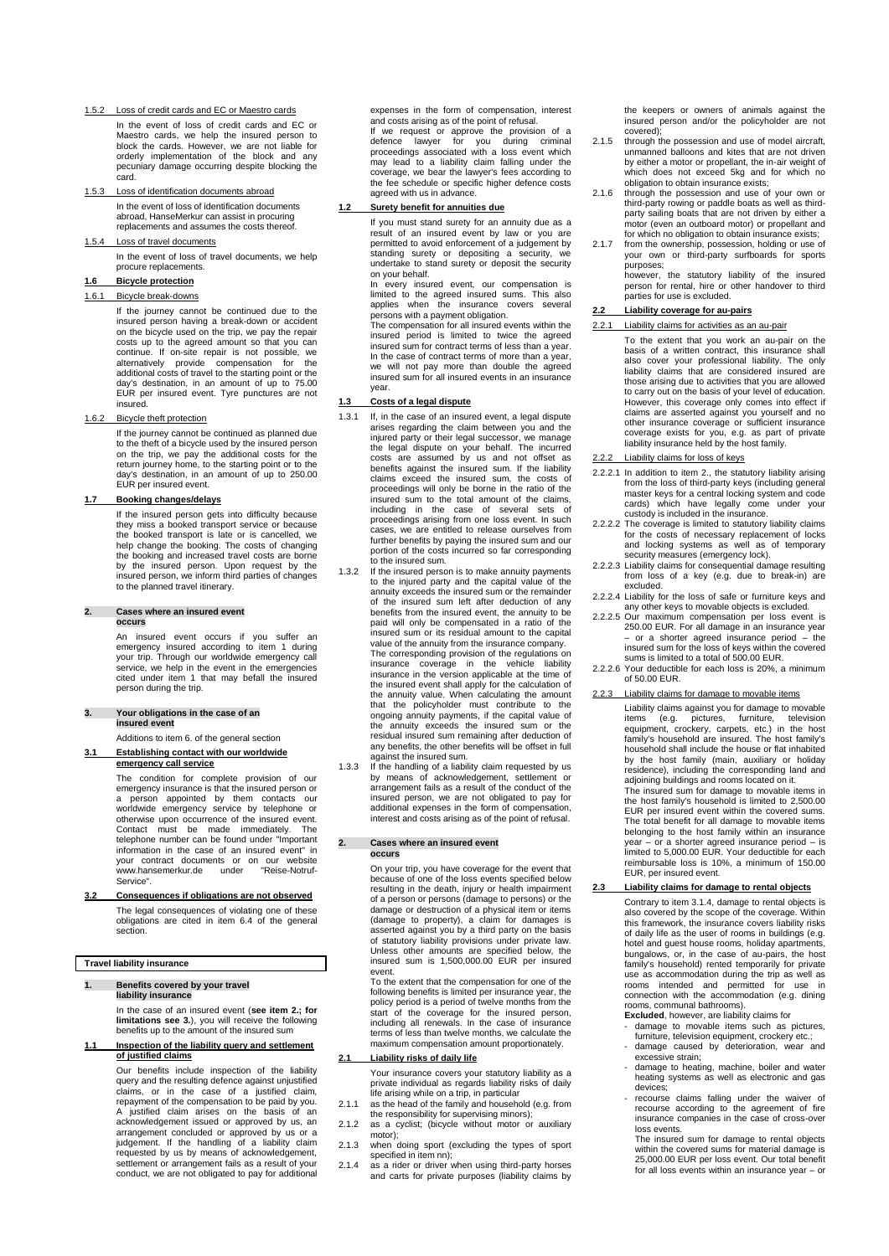1.5.2 Loss of credit cards and EC or Maestro cards

In the event of loss of credit cards and EC or Maestro cards, we help the insured person to block the cards. However, we are not liable for orderly implementation of the block and any pecuniary damage occurring despite blocking the card.

1.5.3 Loss of identification documents abroad In the event of loss of identification documents abroad, HanseMerkur can assist in procuring replacements and assumes the costs thereof.

Loss of travel documents

In the event of loss of travel documents, we help procure replacements.

### **1.6 Bicycle protection**

#### 1.6.1 Bicycle break-downs

If the journey cannot be continued due to the insured person having a break-down or accident on the bicycle used on the trip, we pay the repair costs up to the agreed amount so that you can continue. If on-site repair is not possible, we alternatively provide compensation for the additional costs of travel to the starting point or the day's destination, in an amount of up to 75.00 EUR per insured event. Tyre punctures are not insured.

### 1.6.2 Bicycle theft protection

If the journey cannot be continued as planned due to the theft of a bicycle used by the insured person on the trip, we pay the additional costs for the return journey home, to the starting point or to the day's destination, in an amount of up to 250.00 EUR per insured event.

#### **1.7 Booking changes/delays**

If the insured person gets into difficulty because they miss a booked transport service or because the booked transport is late or is cancelled, we help change the booking. The costs of changing the booking and increased travel costs are borne by the insured person. Upon request by the insured person, we inform third parties of changes to the planned travel itinerary.

#### **2. Cases where an insured event occurs**

An insured event occurs if you suffer an emergency insured according to item 1 during your trip. Through our worldwide emergency call service, we help in the event in the emergencies cited under item 1 that may befall the insured person during the trip.

### **3. Your obligations in the case of an insured event**

Additions to item 6. of the general section **3.1 Establishing contact with our worldwide** 

**emergency call service**

The condition for complete provision of our emergency insurance is that the insured person or a person appointed by them contacts our worldwide emergency service by telephone or otherwise upon occurrence of the insured event. Contact must be made immediately. The telephone number can be found under "Important<br>information in the case of an insured event" in<br>your contract documents or on our website<br>www.hansemerkur.de under "Reise-Notruf-Service".

**3.2 Consequences if obligations are not observed** The legal consequences of violating one of these obligations are cited in item 6.4 of the general section.

### **Travel liability insurance**

#### **1. Benefits covered by your travel liability insurance**

In the case of an insured event (**see item 2.; for limitations see 3.**), you will receive the following benefits up to the amount of the insured sum

#### **1.1 Inspection of the liability query and settlement of justified claims**

Our benefits include inspection of the liability query and the resulting defence against unjustified claims, or in the case of a justified claim, repayment of the compensation to be paid by you. A justified claim arises on the basis of an acknowledgement issued or approved by us, an arrangement concluded or approved by us or a<br>judgement. If the handling of a liability claim<br>requested by us by means of acknowledgement,<br>settlement or arrangement fails as a result of your<br>conduct, we are not obligated to expenses in the form of compensation, interest and costs arising as of the point of refusal. If we request or approve the provision of a defence lawyer for you during criminal proceedings associated with a loss event which may lead to a liability claim falling under the coverage, we bear the lawyer's fees according to the fee schedule or specific higher defence costs agreed with us in advance.

### **1.2 Surety benefit for annuities due**

If you must stand surety for an annuity due as a result of an insured event by law or you are permitted to avoid enforcement of a judgement by standing surety or depositing a security, we undertake to stand surety or deposit the security on your behalf.

In every insured event, our compensation is limited to the agreed insured sums. This also applies when the insurance covers several persons with a payment obligation.

The compensation for all insured events within the insured period is limited to twice the agreed insured sum for contract terms of less than a year. In the case of contract terms of more than a year, we will not pay more than double the agreed insured sum for all insured events in an insurance year.

### **1.3 Costs of a legal dispute**

- 1.3.1 If, in the case of an insured event, a legal dispute arises regarding the claim between you and the injured party or their legal successor, we manage the legal dispute on your behalf. The incurred costs are assumed by us and not offset as benefits against the insured sum. If the liability claims exceed the insured sum, the costs of proceedings will only be borne in the ratio of the insured sum to the total amount of the claims, including in the case of several sets of proceedings arising from one loss event. In such cases, we are entitled to release ourselves from further benefits by paying the insured sum and our portion of the costs incurred so far corresponding to the insured sum.
- 1.3.2 If the insured person is to make annuity payments to the injured party and the capital value of the annuity exceeds the insured sum or the remainder of the insured sum left after deduction of any benefits from the insured event, the annuity to be paid will only be compensated in a ratio of the insured sum or its residual amount to the capital value of the annuity from the insurance company. The corresponding provision of the regulations on insurance coverage in the vehicle liability insurance in the version applicable at the time of the insured event shall apply for the calculation of the annuity value. When calculating the amount that the policyholder must contribute to the ongoing annuity payments, if the capital value of the annuity exceeds the insured sum or the residual insured sum remaining after deduction of any benefits, the other benefits will be offset in full against the insured sum.
- 1.3.3 If the handling of a liability claim requested by us by means of acknowledgement, settlement or arrangement fails as a result of the conduct of the insured person, we are not obligated to pay for additional expenses in the form of compensation, interest and costs arising as of the point of refusal.

#### **2. Cases where an insured event occurs**

On your trip, you have coverage for the event that because of one of the loss events specified below resulting in the death, injury or health impairment of a person or persons (damage to persons) or the damage or destruction of a physical item or items (damage to property), a claim for damages is asserted against you by a third party on the basis of statutory liability provisions under private law. Unless other amounts are specified below, the insured sum is 1,500,000.00 EUR per insured event.

To the extent that the compensation for one of the following benefits is limited per insurance year, the policy period is a period of twelve months from the start of the coverage for the insured person, including all renewals. In the case of insurance terms of less than twelve months, we calculate the maximum compensation amount proportionately.

### **2.1 Liability risks of daily life**

Your insurance covers your statutory liability as a private individual as regards liability risks of daily life arising while on a trip, in particular

- 2.1.1 as the head of the family and household (e.g. from the responsibility for supervising minors);
- 2.1.2 as a cyclist; (bicycle without motor or auxiliary motor);
- 2.1.3 when doing sport (excluding the types of sport specified in item nn);
- 2.1.4 as a rider or driver when using third-party horses and carts for private purposes (liability claims by

the keepers or owners of animals against the insured person and/or the policyholder are not covered);

- 2.1.5 through the possession and use of model aircraft, unmanned balloons and kites that are not driven by either a motor or propellant, the in-air weight of which does not exceed 5kg and for which no obligation to obtain insurance exists;
- 2.1.6 through the possession and use of your own or third-party rowing or paddle boats as well as third-party sailing boats that are not driven by either a motor (even an outboard motor) or propellant and for which no obligation to obtain insurance exists;
- 2.1.7 from the ownership, possession, holding or use of your own or third-party surfboards for sports purposes;

however, the statutory liability of the insured person for rental, hire or other handover to third parties for use is excluded.

### **2.2 Liability coverage for au-pairs**

- 2.2.1 Liability claims for activities as an au-pair
	- To the extent that you work an au-pair on the basis of a written contract, this insurance shall also cover your professional liability. The only liability claims that are considered insured are those arising due to activities that you are allowed to carry out on the basis of your level of education. However, this coverage only comes into effect if claims are asserted against you yourself and no other insurance coverage or sufficient insurance coverage exists for you, e.g. as part of private liability insurance held by the host family.

#### 2.2.2 Liability claims for loss of keys

- 2.2.2.1 In addition to item 2., the statutory liability arising from the loss of third-party keys (including general master keys for a central locking system and code cards) which have legally come under your custody is included in the insurance.
- 2.2.2.2 The coverage is limited to statutory liability claims for the costs of necessary replacement of locks and locking systems as well as of temporary
- security measures (emergency lock). 2.2.2.3 Liability claims for consequential damage resulting from loss of a key (e.g. due to break-in) are excluded.
- 2.2.2.4 Liability for the loss of safe or furniture keys and any other keys to movable objects is excluded.
- 2.2.2.5 Our maximum compensation per loss event is 250.00 EUR. For all damage in an insurance year – or a shorter agreed insurance period – the insured sum for the loss of keys within the covered sums is limited to a total of 500.00 EUR.
- 2.2.2.6 Your deductible for each loss is 20%, a minimum of 50.00 EUR.
- Liability claims for damage to movable items Liability claims against you for damage to movable items (e.g. pictures, furniture, television equipment, crockery, carpets, etc.) in the host family's household are insured. The host family's household shall include the house or flat inhabited by the host family (main, auxiliary or holiday residence), including the corresponding land and adjoining buildings and rooms located on it. The insured sum for damage to movable items in the host family's household is limited to 2,500.00 EUR per insured event within the covered sums. The total benefit for all damage to movable items belonging to the host family within an insurance year – or a shorter agreed insurance period – is limited to 5,000.00 EUR. Your deductible for each reimbursable loss is 10%, a minimum of 150.00 EUR, per insured event.

### **2.3 Liability claims for damage to rental objects**

Contrary to item 3.1.4, damage to rental objects is also covered by the scope of the coverage. Within this framework, the insurance covers liability risks of daily life as the user of rooms in buildings (e.g. hotel and guest house rooms, holiday apartments, bungalows, or, in the case of au-pairs, the host family's household) rented temporarily for private use as accommodation during the trip as well as rooms intended and permitted for use in connection with the accommodation (e.g. dining rooms, communal bathrooms).

- **Excluded**, however, are liability claims for damage to movable items such as pictures, furniture, television equipment, crockery etc.;
- damage caused by deterioration, wear and excessive strain;
- damage to heating, machine, boiler and water heating systems as well as electronic and gas devices;
- recourse claims falling under the waiver of recourse according to the agreement of fire insurance companies in the case of cross-over loss events.

The insured sum for damage to rental objects within the covered sums for material damage is 25,000.00 EUR per loss event. Our total benefit for all loss events within an insurance year – or